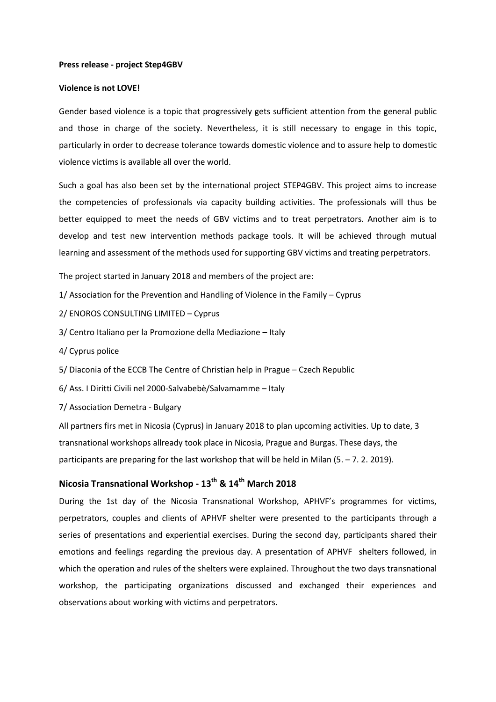### **Press release - project Step4GBV**

### **Violence is not LOVE!**

Gender based violence is a topic that progressively gets sufficient attention from the general public and those in charge of the society. Nevertheless, it is still necessary to engage in this topic, particularly in order to decrease tolerance towards domestic violence and to assure help to domestic violence victims is available all over the world.

Such a goal has also been set by the international project STEP4GBV. This project aims to increase the competencies of professionals via capacity building activities. The professionals will thus be better equipped to meet the needs of GBV victims and to treat perpetrators. Another aim is to develop and test new intervention methods package tools. It will be achieved through mutual learning and assessment of the methods used for supporting GBV victims and treating perpetrators.

The project started in January 2018 and members of the project are:

- 1/ Association for the Prevention and Handling of Violence in the Family Cyprus
- 2/ ENOROS CONSULTING LIMITED Cyprus
- 3/ Centro Italiano per la Promozione della Mediazione Italy
- 4/ Cyprus police
- 5/ Diaconia of the ECCB The Centre of Christian help in Prague Czech Republic
- 6/ Ass. I Diritti Civili nel 2000-Salvabebè/Salvamamme Italy
- 7/ Association Demetra Bulgary

All partners firs met in Nicosia (Cyprus) in January 2018 to plan upcoming activities. Up to date, 3 transnational workshops allready took place in Nicosia, Prague and Burgas. These days, the participants are preparing for the last workshop that will be held in Milan (5. – 7. 2. 2019).

# **Nicosia Transnational Workshop - 13th & 14th March 2018**

During the 1st day of the Nicosia Transnational Workshop, APHVF's programmes for victims, perpetrators, couples and clients of APHVF shelter were presented to the participants through a series of presentations and experiential exercises. During the second day, participants shared their emotions and feelings regarding the previous day. A presentation of APHVF shelters followed, in which the operation and rules of the shelters were explained. Throughout the two days transnational workshop, the participating organizations discussed and exchanged their experiences and observations about working with victims and perpetrators.